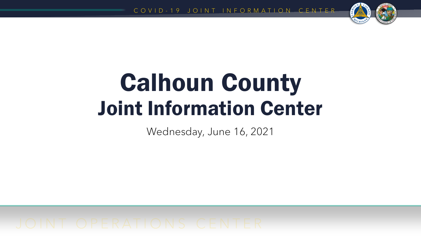

# Calhoun County Joint Information Center

Wednesday, June 16, 2021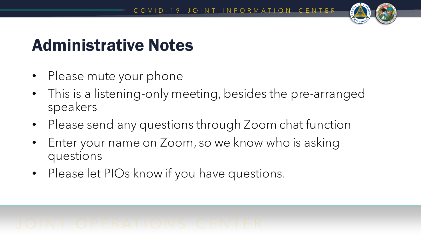

## Administrative Notes

- Please mute your phone
- This is a listening-only meeting, besides the pre-arranged speakers
- Please send any questions through Zoom chat function
- Enter your name on Zoom, so we know who is asking questions
- Please let PIOs know if you have questions.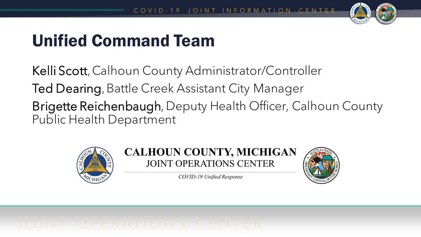

## Unified Command Team

Kelli Scott, Calhoun County Administrator/Controller Ted Dearing, Battle Creek Assistant City Manager Brigette Reichenbaugh, Deputy Health Officer, Calhoun County Public Health Department





COVID-19 Unified Response

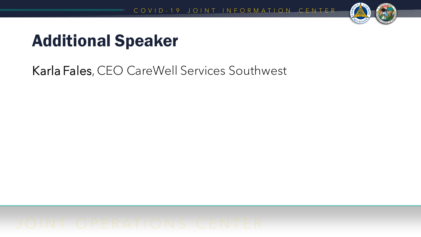

## Additional Speaker

Karla Fales, CEO CareWell Services Southwest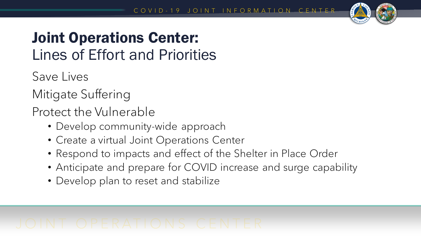

## Joint Operations Center: Lines of Effort and Priorities

Save Lives

Mitigate Suffering

Protect the Vulnerable

- Develop community-wide approach
- Create a virtual Joint Operations Center
- Respond to impacts and effect of the Shelter in Place Order
- Anticipate and prepare for COVID increase and surge capability
- Develop plan to reset and stabilize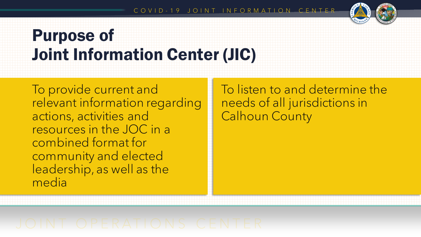

## Purpose of Joint Information Center (JIC)

To provide current and relevant information regarding actions, activities and resources in the JOC in a combined format for community and elected leadership, as well as the media

To listen to and determine the needs of all jurisdictions in Calhoun County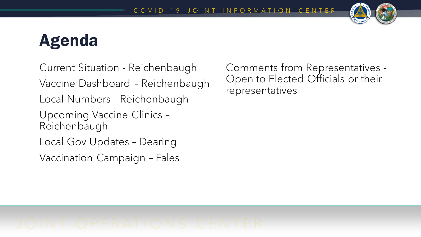

## Agenda

Current Situation - Reichenbaugh Vaccine Dashboard – Reichenbaugh Local Numbers - Reichenbaugh Upcoming Vaccine Clinics – Reichenbaugh Local Gov Updates – Dearing Vaccination Campaign – Fales

Comments from Representatives - Open to Elected Officials or their representatives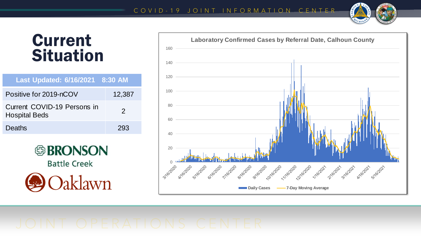

## Current **Situation**

| Last Updated: 6/16/2021 8:30 AM                     |               |
|-----------------------------------------------------|---------------|
| Positive for 2019-nCOV                              | 12,387        |
| Current COVID-19 Persons in<br><b>Hospital Beds</b> | $\mathcal{P}$ |
| Deaths                                              | 293           |



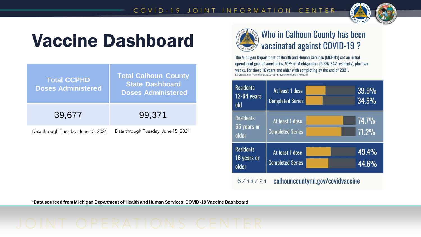

# Vaccine Dashboard

| <b>Total CCPHD</b><br><b>Doses Administered</b> | <b>Total Calhoun County</b><br><b>State Dashboard</b><br><b>Doses Administered</b> |
|-------------------------------------------------|------------------------------------------------------------------------------------|
| 39,677                                          | 99,371                                                                             |
| Data through Tuesday, June 15, 2021             | Data through Tuesday, June 15, 2021                                                |



## **Who in Calhoun County has been** vaccinated against COVID-19?

The Michigan Department of Health and Human Services (MDHHS) set an initial operational goal of vaccinating 70% of Michiganders (5,667,842 residents), plus two weeks. For those 16 years and older with completing by the end of 2021. Data obtained from Michigan Care Improvement Registry (MCIR)



**\*Data sourced from Michigan Department of Health and Human Services: COVID-19 Vaccine Dashboard**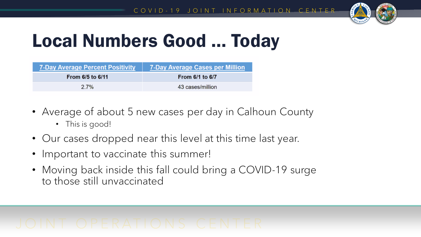

# Local Numbers Good … Today

| 7-Day Average Percent Positivity | <b>7-Day Average Cases per Million</b> |
|----------------------------------|----------------------------------------|
| From 6/5 to 6/11                 | From 6/1 to 6/7                        |
| $2.7\%$                          | 43 cases/million                       |

- Average of about 5 new cases per day in Calhoun County
	- This is good!
- Our cases dropped near this level at this time last year.
- Important to vaccinate this summer!
- Moving back inside this fall could bring a COVID-19 surge to those still unvaccinated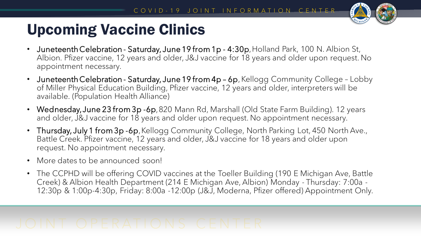

## Upcoming Vaccine Clinics

- Juneteenth Celebration Saturday, June 19 from 1p 4:30p, Holland Park, 100 N. Albion St, Albion. Pfizer vaccine, 12 years and older, J&J vaccine for 18 years and older upon request. No appointment necessary.
- Juneteenth Celebration Saturday, June 19 from 4p 6p, Kellogg Community College Lobby of Miller Physical Education Building, Pfizer vaccine, 12 years and older, interpreters will be available. (Population Health Alliance)
- Wednesday, June 23 from 3p -6p, 820 Mann Rd, Marshall (Old State Farm Building). 12 years and older, J&J vaccine for 18 years and older upon request. No appointment necessary.
- Thursday, July 1 from 3p -6p, Kellogg Community College, North Parking Lot, 450 North Ave., Battle Creek. Pfizer vaccine, 12 years and older, J&J vaccine for 18 years and older upon request. No appointment necessary.
- More dates to be announced soon!
- The CCPHD will be offering COVID vaccines at the Toeller Building (190 E Michigan Ave, Battle Creek) & Albion Health Department (214 E Michigan Ave, Albion) Monday - Thursday: 7:00a - 12:30p & 1:00p-4:30p, Friday: 8:00a -12:00p (J&J, Moderna, Pfizer offered) Appointment Only.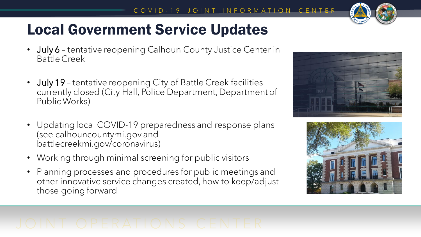

## Local Government Service Updates

- July 6 tentative reopening Calhoun County Justice Center in Battle Creek
- July 19 tentative reopening City of Battle Creek facilities currently closed (City Hall, Police Department, Department of Public Works)
- Updating local COVID-19 preparedness and response plans (see calhouncountymi.gov and battlecreekmi.gov/coronavirus)
- Working through minimal screening for public visitors
- Planning processes and procedures for public meetings and other innovative service changes created, how to keep/adjust those going forward



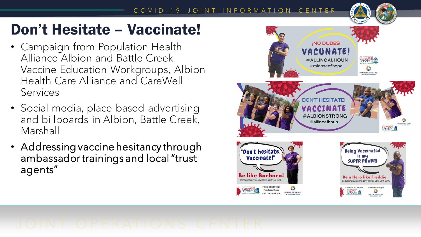## COVID-19 JOINT INFORMATION CENTER

## Don't Hesitate – Vaccinate!

- Campaign from Population Health Alliance Albion and Battle Creek Vaccine Education Workgroups, Albion Health Care Alliance and CareWell Services
- Social media, place-based advertising and billboards in Albion, Battle Creek, Marshall
- Addressing vaccine hesitancy through ambassador trainings and local "trust agents"

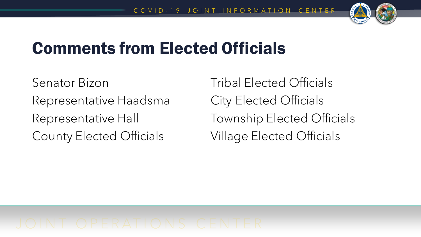

## Comments from Elected Officials

Senator Bizon Representative Haadsma Representative Hall County Elected Officials

Tribal Elected Officials City Elected Officials Township Elected Officials Village Elected Officials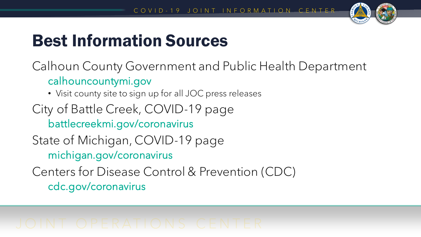

## Best Information Sources

Calhoun County Government and Public Health Department calhouncountymi.gov

• Visit county site to sign up for all JOC press releases

City of Battle Creek, COVID-19 page battlecreekmi.gov/coronavirus

State of Michigan, COVID-19 page michigan.gov/coronavirus

Centers for Disease Control & Prevention (CDC) cdc.gov/coronavirus